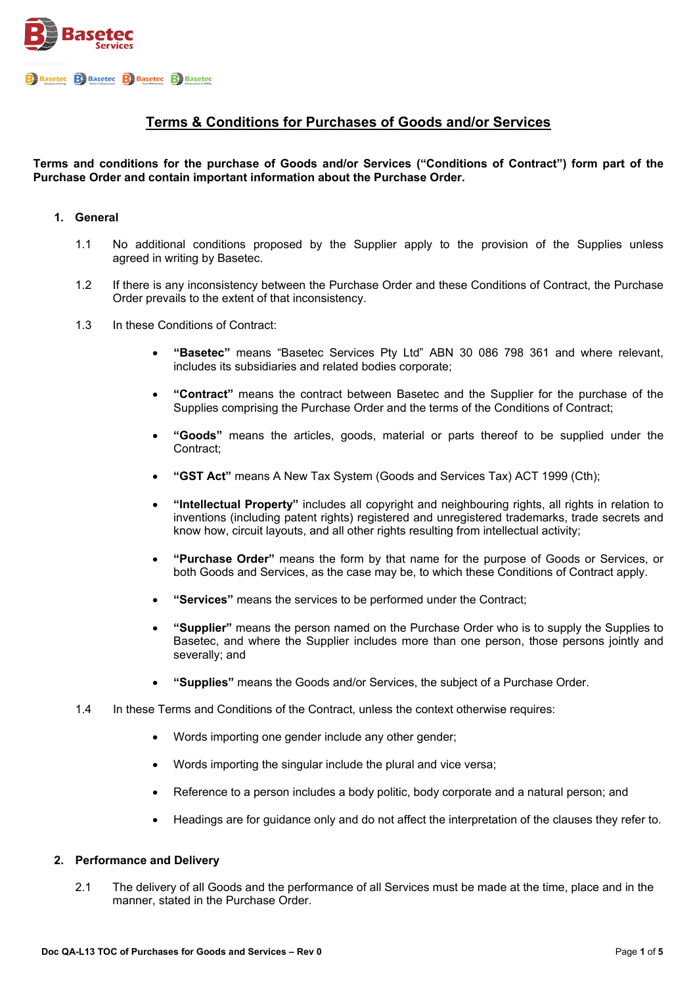

# **Terms & Conditions for Purchases of Goods and/or Services**

# **Terms and conditions for the purchase of Goods and/or Services ("Conditions of Contract") form part of the Purchase Order and contain important information about the Purchase Order.**

### **1. General**

- 1.1 No additional conditions proposed by the Supplier apply to the provision of the Supplies unless agreed in writing by Basetec.
- 1.2 If there is any inconsistency between the Purchase Order and these Conditions of Contract, the Purchase Order prevails to the extent of that inconsistency.
- 1.3 In these Conditions of Contract:
	- **"Basetec"** means "Basetec Services Pty Ltd" ABN 30 086 798 361 and where relevant, includes its subsidiaries and related bodies corporate;
	- **"Contract"** means the contract between Basetec and the Supplier for the purchase of the Supplies comprising the Purchase Order and the terms of the Conditions of Contract;
	- **"Goods"** means the articles, goods, material or parts thereof to be supplied under the Contract;
	- **"GST Act"** means A New Tax System (Goods and Services Tax) ACT 1999 (Cth);
	- **"Intellectual Property"** includes all copyright and neighbouring rights, all rights in relation to inventions (including patent rights) registered and unregistered trademarks, trade secrets and know how, circuit layouts, and all other rights resulting from intellectual activity;
	- **"Purchase Order"** means the form by that name for the purpose of Goods or Services, or both Goods and Services, as the case may be, to which these Conditions of Contract apply.
	- **"Services"** means the services to be performed under the Contract;
	- **"Supplier"** means the person named on the Purchase Order who is to supply the Supplies to Basetec, and where the Supplier includes more than one person, those persons jointly and severally; and
	- **"Supplies"** means the Goods and/or Services, the subject of a Purchase Order.
- 1.4 In these Terms and Conditions of the Contract, unless the context otherwise requires:
	- Words importing one gender include any other gender;
	- Words importing the singular include the plural and vice versa;
	- Reference to a person includes a body politic, body corporate and a natural person; and
	- Headings are for guidance only and do not affect the interpretation of the clauses they refer to.

### **2. Performance and Delivery**

2.1 The delivery of all Goods and the performance of all Services must be made at the time, place and in the manner, stated in the Purchase Order.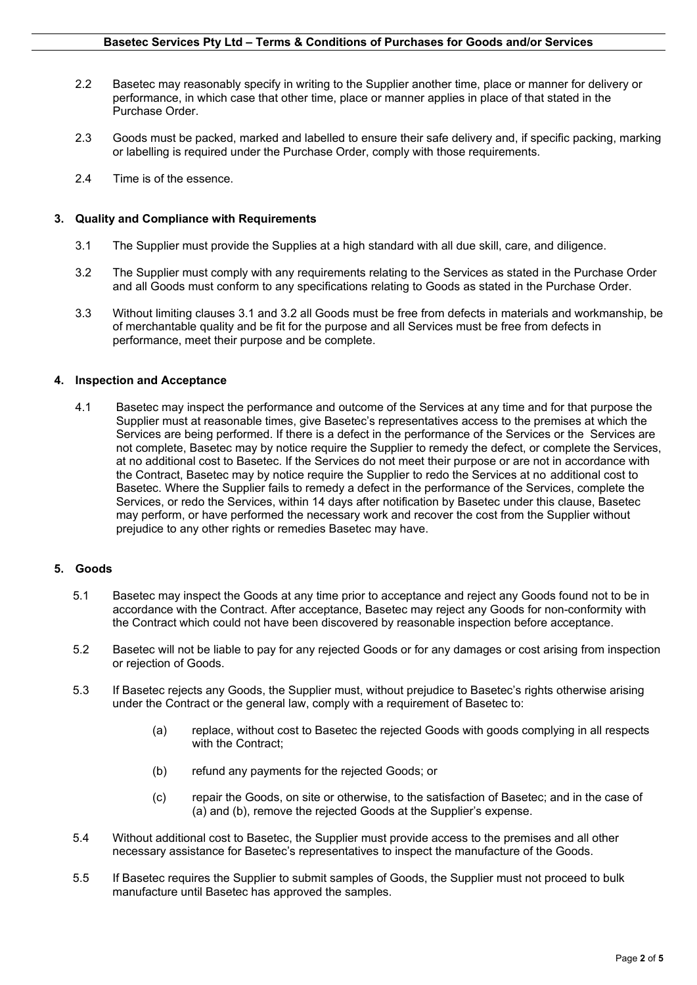- 2.2 Basetec may reasonably specify in writing to the Supplier another time, place or manner for delivery or performance, in which case that other time, place or manner applies in place of that stated in the Purchase Order.
- 2.3 Goods must be packed, marked and labelled to ensure their safe delivery and, if specific packing, marking or labelling is required under the Purchase Order, comply with those requirements.
- 2.4 Time is of the essence.

# **3. Quality and Compliance with Requirements**

- 3.1 The Supplier must provide the Supplies at a high standard with all due skill, care, and diligence.
- 3.2 The Supplier must comply with any requirements relating to the Services as stated in the Purchase Order and all Goods must conform to any specifications relating to Goods as stated in the Purchase Order.
- 3.3 Without limiting clauses 3.1 and 3.2 all Goods must be free from defects in materials and workmanship, be of merchantable quality and be fit for the purpose and all Services must be free from defects in performance, meet their purpose and be complete.

### **4. Inspection and Acceptance**

4.1 Basetec may inspect the performance and outcome of the Services at any time and for that purpose the Supplier must at reasonable times, give Basetec's representatives access to the premises at which the Services are being performed. If there is a defect in the performance of the Services or the Services are not complete, Basetec may by notice require the Supplier to remedy the defect, or complete the Services, at no additional cost to Basetec. If the Services do not meet their purpose or are not in accordance with the Contract, Basetec may by notice require the Supplier to redo the Services at no additional cost to Basetec. Where the Supplier fails to remedy a defect in the performance of the Services, complete the Services, or redo the Services, within 14 days after notification by Basetec under this clause, Basetec may perform, or have performed the necessary work and recover the cost from the Supplier without prejudice to any other rights or remedies Basetec may have.

# **5. Goods**

- 5.1 Basetec may inspect the Goods at any time prior to acceptance and reject any Goods found not to be in accordance with the Contract. After acceptance, Basetec may reject any Goods for non-conformity with the Contract which could not have been discovered by reasonable inspection before acceptance.
- 5.2 Basetec will not be liable to pay for any rejected Goods or for any damages or cost arising from inspection or rejection of Goods.
- 5.3 If Basetec rejects any Goods, the Supplier must, without prejudice to Basetec's rights otherwise arising under the Contract or the general law, comply with a requirement of Basetec to:
	- (a) replace, without cost to Basetec the rejected Goods with goods complying in all respects with the Contract;
	- (b) refund any payments for the rejected Goods; or
	- (c) repair the Goods, on site or otherwise, to the satisfaction of Basetec; and in the case of (a) and (b), remove the rejected Goods at the Supplier's expense.
- 5.4 Without additional cost to Basetec, the Supplier must provide access to the premises and all other necessary assistance for Basetec's representatives to inspect the manufacture of the Goods.
- 5.5 If Basetec requires the Supplier to submit samples of Goods, the Supplier must not proceed to bulk manufacture until Basetec has approved the samples.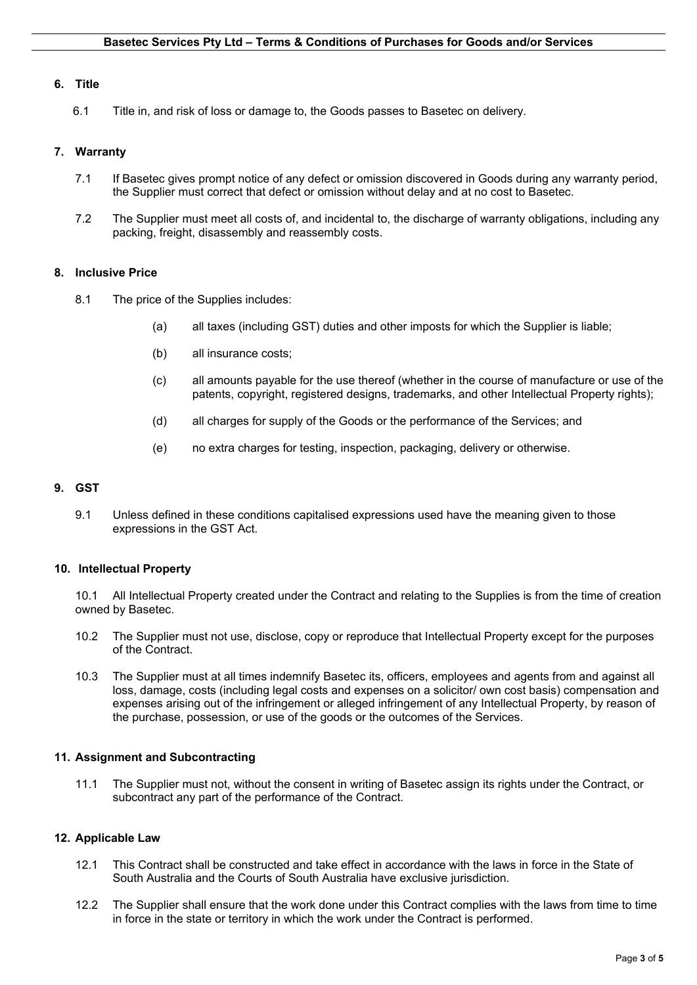### **6. Title**

6.1 Title in, and risk of loss or damage to, the Goods passes to Basetec on delivery.

### **7. Warranty**

- 7.1 If Basetec gives prompt notice of any defect or omission discovered in Goods during any warranty period, the Supplier must correct that defect or omission without delay and at no cost to Basetec.
- 7.2 The Supplier must meet all costs of, and incidental to, the discharge of warranty obligations, including any packing, freight, disassembly and reassembly costs.

#### **8. Inclusive Price**

- 8.1 The price of the Supplies includes:
	- (a) all taxes (including GST) duties and other imposts for which the Supplier is liable;
	- (b) all insurance costs;
	- (c) all amounts payable for the use thereof (whether in the course of manufacture or use of the patents, copyright, registered designs, trademarks, and other Intellectual Property rights);
	- (d) all charges for supply of the Goods or the performance of the Services; and
	- (e) no extra charges for testing, inspection, packaging, delivery or otherwise.

#### **9. GST**

9.1 Unless defined in these conditions capitalised expressions used have the meaning given to those expressions in the GST Act.

### **10. Intellectual Property**

10.1 All Intellectual Property created under the Contract and relating to the Supplies is from the time of creation owned by Basetec.

- 10.2 The Supplier must not use, disclose, copy or reproduce that Intellectual Property except for the purposes of the Contract.
- 10.3 The Supplier must at all times indemnify Basetec its, officers, employees and agents from and against all loss, damage, costs (including legal costs and expenses on a solicitor/ own cost basis) compensation and expenses arising out of the infringement or alleged infringement of any Intellectual Property, by reason of the purchase, possession, or use of the goods or the outcomes of the Services.

#### **11. Assignment and Subcontracting**

11.1 The Supplier must not, without the consent in writing of Basetec assign its rights under the Contract, or subcontract any part of the performance of the Contract.

### **12. Applicable Law**

- 12.1 This Contract shall be constructed and take effect in accordance with the laws in force in the State of South Australia and the Courts of South Australia have exclusive jurisdiction.
- 12.2 The Supplier shall ensure that the work done under this Contract complies with the laws from time to time in force in the state or territory in which the work under the Contract is performed.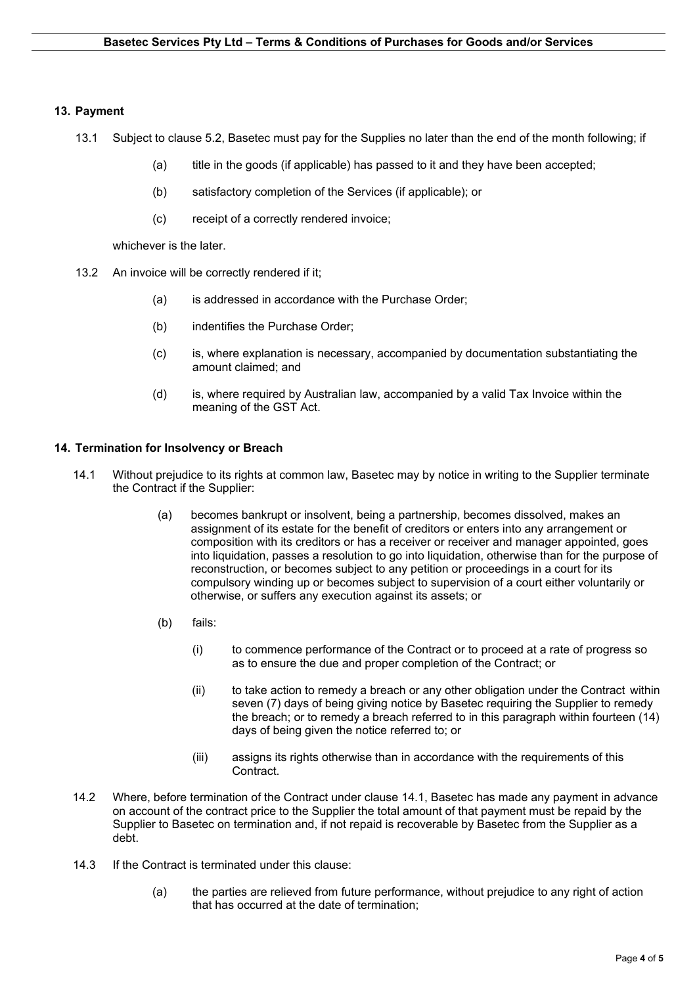# **13. Payment**

- 13.1 Subject to clause 5.2, Basetec must pay for the Supplies no later than the end of the month following; if
	- (a) title in the goods (if applicable) has passed to it and they have been accepted;
	- (b) satisfactory completion of the Services (if applicable); or
	- (c) receipt of a correctly rendered invoice;

whichever is the later.

- 13.2 An invoice will be correctly rendered if it;
	- (a) is addressed in accordance with the Purchase Order;
	- (b) indentifies the Purchase Order;
	- (c) is, where explanation is necessary, accompanied by documentation substantiating the amount claimed; and
	- (d) is, where required by Australian law, accompanied by a valid Tax Invoice within the meaning of the GST Act.

# **14. Termination for Insolvency or Breach**

- 14.1 Without prejudice to its rights at common law, Basetec may by notice in writing to the Supplier terminate the Contract if the Supplier:
	- (a) becomes bankrupt or insolvent, being a partnership, becomes dissolved, makes an assignment of its estate for the benefit of creditors or enters into any arrangement or composition with its creditors or has a receiver or receiver and manager appointed, goes into liquidation, passes a resolution to go into liquidation, otherwise than for the purpose of reconstruction, or becomes subject to any petition or proceedings in a court for its compulsory winding up or becomes subject to supervision of a court either voluntarily or otherwise, or suffers any execution against its assets; or
	- (b) fails:
		- (i) to commence performance of the Contract or to proceed at a rate of progress so as to ensure the due and proper completion of the Contract; or
		- (ii) to take action to remedy a breach or any other obligation under the Contract within seven (7) days of being giving notice by Basetec requiring the Supplier to remedy the breach; or to remedy a breach referred to in this paragraph within fourteen (14) days of being given the notice referred to; or
		- (iii) assigns its rights otherwise than in accordance with the requirements of this Contract.
- 14.2 Where, before termination of the Contract under clause 14.1, Basetec has made any payment in advance on account of the contract price to the Supplier the total amount of that payment must be repaid by the Supplier to Basetec on termination and, if not repaid is recoverable by Basetec from the Supplier as a debt.
- 14.3 If the Contract is terminated under this clause:
	- (a) the parties are relieved from future performance, without prejudice to any right of action that has occurred at the date of termination;